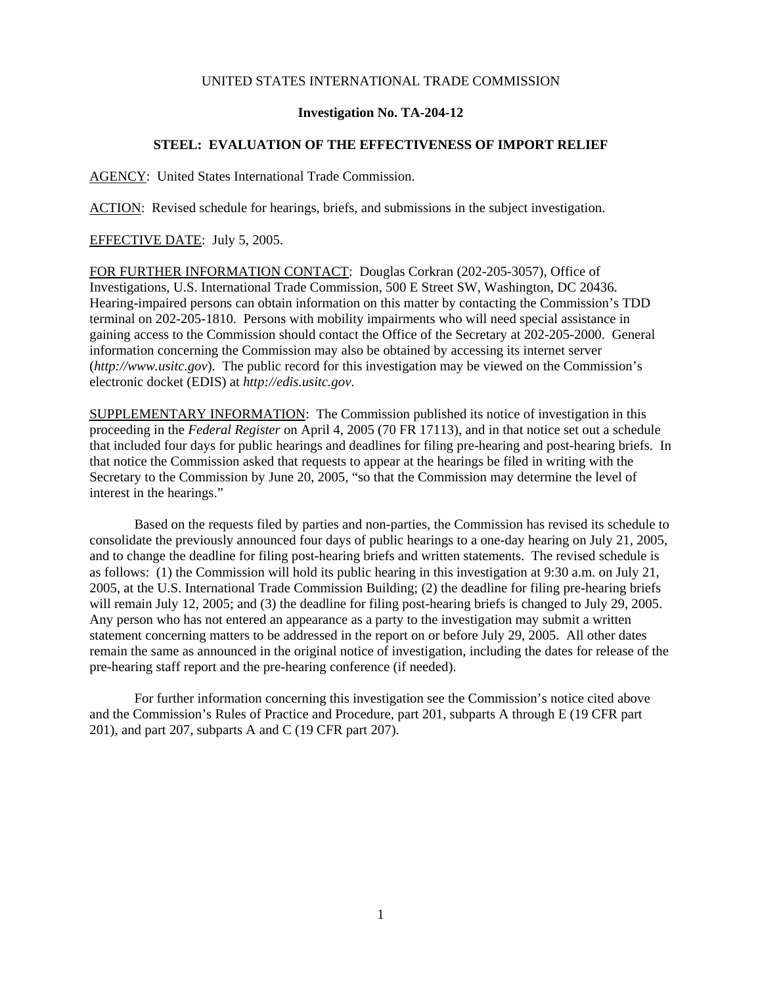## UNITED STATES INTERNATIONAL TRADE COMMISSION

## **Investigation No. TA-204-12**

## **STEEL: EVALUATION OF THE EFFECTIVENESS OF IMPORT RELIEF**

AGENCY: United States International Trade Commission.

ACTION: Revised schedule for hearings, briefs, and submissions in the subject investigation.

## EFFECTIVE DATE: July 5, 2005.

FOR FURTHER INFORMATION CONTACT: Douglas Corkran (202-205-3057), Office of Investigations, U.S. International Trade Commission, 500 E Street SW, Washington, DC 20436. Hearing-impaired persons can obtain information on this matter by contacting the Commission's TDD terminal on 202-205-1810. Persons with mobility impairments who will need special assistance in gaining access to the Commission should contact the Office of the Secretary at 202-205-2000. General information concerning the Commission may also be obtained by accessing its internet server (*http://www.usitc.gov*). The public record for this investigation may be viewed on the Commission's electronic docket (EDIS) at *http://edis.usitc.gov*.

SUPPLEMENTARY INFORMATION: The Commission published its notice of investigation in this proceeding in the *Federal Register* on April 4, 2005 (70 FR 17113), and in that notice set out a schedule that included four days for public hearings and deadlines for filing pre-hearing and post-hearing briefs. In that notice the Commission asked that requests to appear at the hearings be filed in writing with the Secretary to the Commission by June 20, 2005, "so that the Commission may determine the level of interest in the hearings."

Based on the requests filed by parties and non-parties, the Commission has revised its schedule to consolidate the previously announced four days of public hearings to a one-day hearing on July 21, 2005, and to change the deadline for filing post-hearing briefs and written statements. The revised schedule is as follows: (1) the Commission will hold its public hearing in this investigation at 9:30 a.m. on July 21, 2005, at the U.S. International Trade Commission Building; (2) the deadline for filing pre-hearing briefs will remain July 12, 2005; and (3) the deadline for filing post-hearing briefs is changed to July 29, 2005. Any person who has not entered an appearance as a party to the investigation may submit a written statement concerning matters to be addressed in the report on or before July 29, 2005. All other dates remain the same as announced in the original notice of investigation, including the dates for release of the pre-hearing staff report and the pre-hearing conference (if needed).

For further information concerning this investigation see the Commission's notice cited above and the Commission's Rules of Practice and Procedure, part 201, subparts A through E (19 CFR part 201), and part 207, subparts A and C (19 CFR part 207).